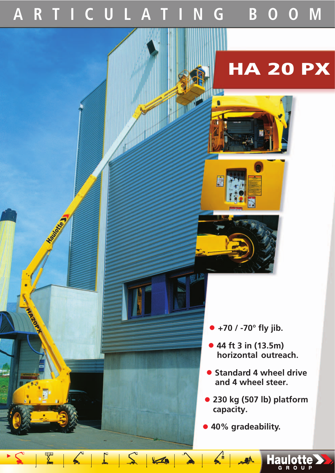## **ARTICULATING BOOM**

## **HA 20 PX**

ייו ß

- **• +70 / -70° fly jib.**
- **• 44 ft 3 in (13.5m) horizontal outreach.**
- **• Standard 4 wheel drive and 4 wheel steer.**
- **• 230 kg (507 lb) platform capacity.**

**ARA Haulotte** 

**• 40% gradeability.**